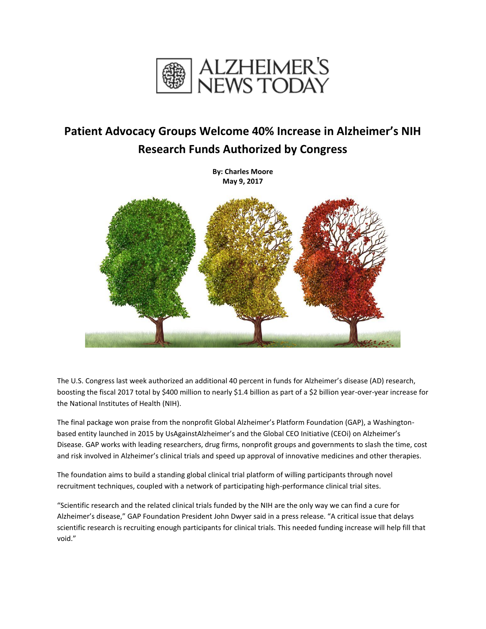

## **Patient Advocacy Groups Welcome 40% Increase in Alzheimer's NIH Research Funds Authorized by Congress**

**By: Charles Moore May 9, 2017**



The U.S. Congress last week authorized an additional 40 percent in funds for Alzheimer's disease (AD) research, boosting the fiscal 2017 total by \$400 million to nearly \$1.4 billion as part of a \$2 billion year-over-year increase for the National Institutes of Health (NIH).

The final package won praise from the nonprofit Global Alzheimer's Platform Foundation (GAP), a Washingtonbased entity launched in 2015 by UsAgainstAlzheimer's and the Global CEO Initiative (CEOi) on Alzheimer's Disease. GAP works with leading researchers, drug firms, nonprofit groups and governments to slash the time, cost and risk involved in Alzheimer's clinical trials and speed up approval of innovative medicines and other therapies.

The foundation aims to build a standing global clinical trial platform of willing participants through novel recruitment techniques, coupled with a network of participating high-performance clinical trial sites.

"Scientific research and the related clinical trials funded by the NIH are the only way we can find a cure for Alzheimer's disease," GAP Foundation President John Dwyer said in a press release. "A critical issue that delays scientific research is recruiting enough participants for clinical trials. This needed funding increase will help fill that void."